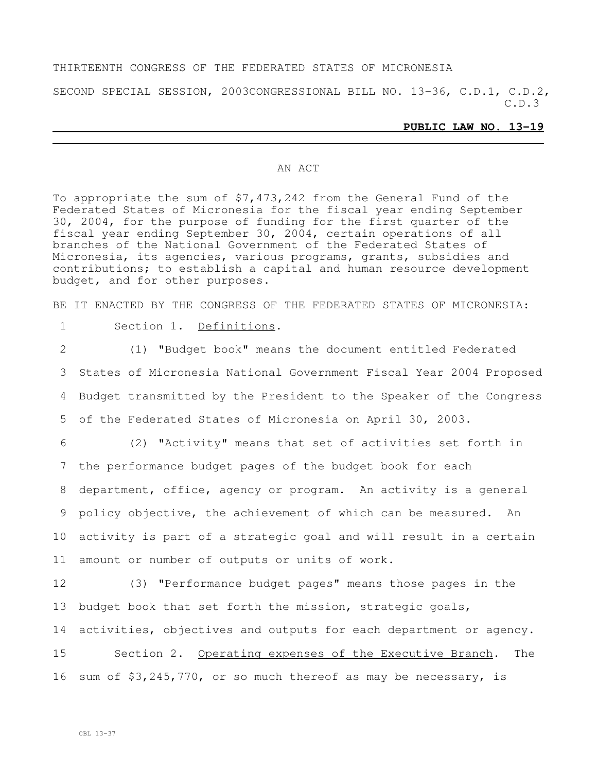#### THIRTEENTH CONGRESS OF THE FEDERATED STATES OF MICRONESIA

SECOND SPECIAL SESSION, 2003CONGRESSIONAL BILL NO. 13-36, C.D.1, C.D.2, C.D.3

#### **PUBLIC LAW NO. 13-19**

#### AN ACT

To appropriate the sum of \$7,473,242 from the General Fund of the Federated States of Micronesia for the fiscal year ending September 30, 2004, for the purpose of funding for the first quarter of the fiscal year ending September 30, 2004, certain operations of all branches of the National Government of the Federated States of Micronesia, its agencies, various programs, grants, subsidies and contributions; to establish a capital and human resource development budget, and for other purposes.

BE IT ENACTED BY THE CONGRESS OF THE FEDERATED STATES OF MICRONESIA:

1 Section 1. Definitions.

 (1) "Budget book" means the document entitled Federated States of Micronesia National Government Fiscal Year 2004 Proposed Budget transmitted by the President to the Speaker of the Congress of the Federated States of Micronesia on April 30, 2003.

 (2) "Activity" means that set of activities set forth in the performance budget pages of the budget book for each department, office, agency or program. An activity is a general policy objective, the achievement of which can be measured. An activity is part of a strategic goal and will result in a certain amount or number of outputs or units of work.

12 (3) "Performance budget pages" means those pages in the 13 budget book that set forth the mission, strategic goals, 14 activities, objectives and outputs for each department or agency. 15 Section 2. Operating expenses of the Executive Branch. The

16 sum of \$3,245,770, or so much thereof as may be necessary, is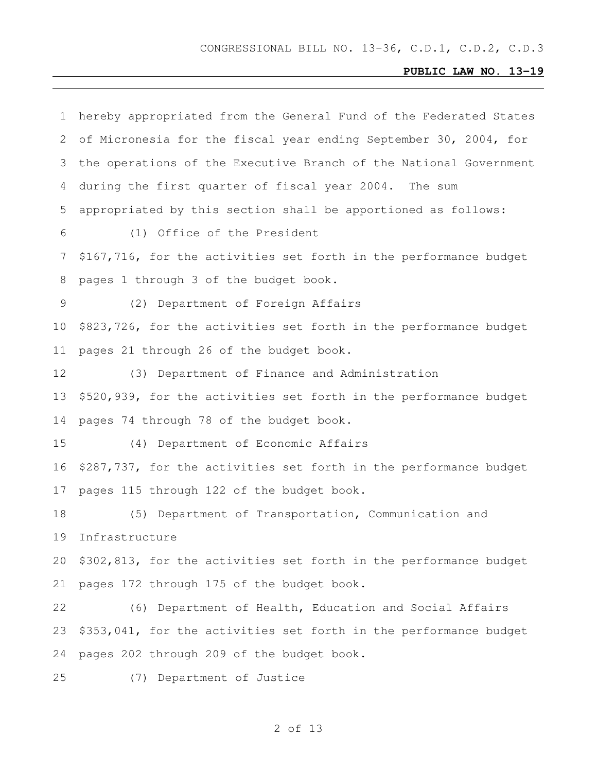| 1               | hereby appropriated from the General Fund of the Federated States |
|-----------------|-------------------------------------------------------------------|
| 2               | of Micronesia for the fiscal year ending September 30, 2004, for  |
| 3               | the operations of the Executive Branch of the National Government |
| 4               | during the first quarter of fiscal year 2004. The sum             |
| 5               | appropriated by this section shall be apportioned as follows:     |
| 6               | (1) Office of the President                                       |
| 7               | \$167,716, for the activities set forth in the performance budget |
| 8               | pages 1 through 3 of the budget book.                             |
| 9               | (2) Department of Foreign Affairs                                 |
| 10 <sup>°</sup> | \$823,726, for the activities set forth in the performance budget |
| 11              | pages 21 through 26 of the budget book.                           |
| 12              | (3) Department of Finance and Administration                      |
| 13              | \$520,939, for the activities set forth in the performance budget |
| 14              | pages 74 through 78 of the budget book.                           |
| 15              | (4) Department of Economic Affairs                                |
| 16              | \$287,737, for the activities set forth in the performance budget |
| 17              | pages 115 through 122 of the budget book.                         |
| 18              | (5) Department of Transportation, Communication and               |
| 19              | Infrastructure                                                    |
| 20              | \$302,813, for the activities set forth in the performance budget |
| 21              | pages 172 through 175 of the budget book.                         |
| 22              | (6) Department of Health, Education and Social Affairs            |
| 23              | \$353,041, for the activities set forth in the performance budget |
| 24              | pages 202 through 209 of the budget book.                         |
| 25              | (7) Department of Justice                                         |
|                 |                                                                   |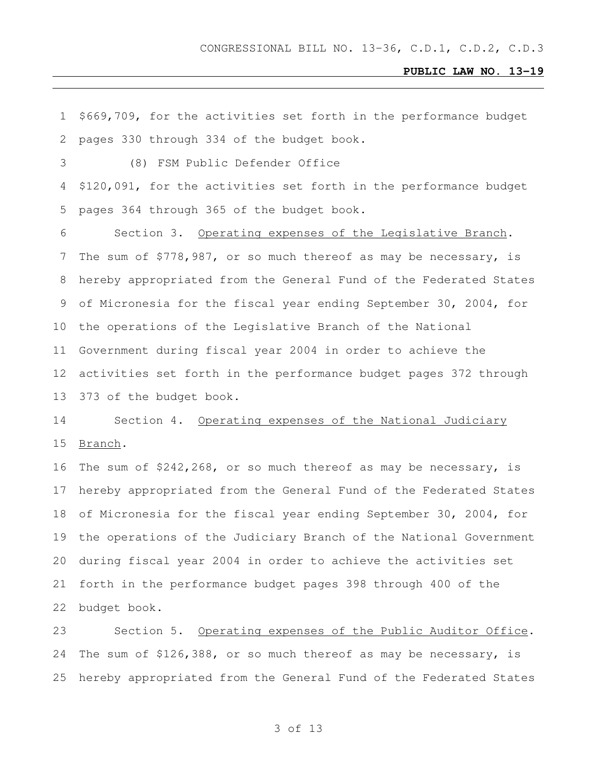| 1  | \$669,709, for the activities set forth in the performance budget   |
|----|---------------------------------------------------------------------|
| 2  | pages 330 through 334 of the budget book.                           |
| 3  | (8) FSM Public Defender Office                                      |
| 4  | \$120,091, for the activities set forth in the performance budget   |
| 5  | pages 364 through 365 of the budget book.                           |
| 6  | Section 3. Operating expenses of the Legislative Branch.            |
| 7  | The sum of \$778,987, or so much thereof as may be necessary, is    |
| 8  | hereby appropriated from the General Fund of the Federated States   |
| 9  | of Micronesia for the fiscal year ending September 30, 2004, for    |
| 10 | the operations of the Legislative Branch of the National            |
| 11 | Government during fiscal year 2004 in order to achieve the          |
| 12 | activities set forth in the performance budget pages 372 through    |
| 13 | 373 of the budget book.                                             |
|    |                                                                     |
| 14 | Section 4. Operating expenses of the National Judiciary             |
| 15 | Branch.                                                             |
| 16 | The sum of $$242, 268$ , or so much thereof as may be necessary, is |
| 17 | hereby appropriated from the General Fund of the Federated States   |
| 18 | of Micronesia for the fiscal year ending September 30, 2004, for    |
| 19 | the operations of the Judiciary Branch of the National Government   |
| 20 | during fiscal year 2004 in order to achieve the activities set      |
| 21 | forth in the performance budget pages 398 through 400 of the        |
| 22 | budget book.                                                        |
| 23 | Section 5. Operating expenses of the Public Auditor Office.         |
| 24 | The sum of \$126,388, or so much thereof as may be necessary, is    |
| 25 | hereby appropriated from the General Fund of the Federated States   |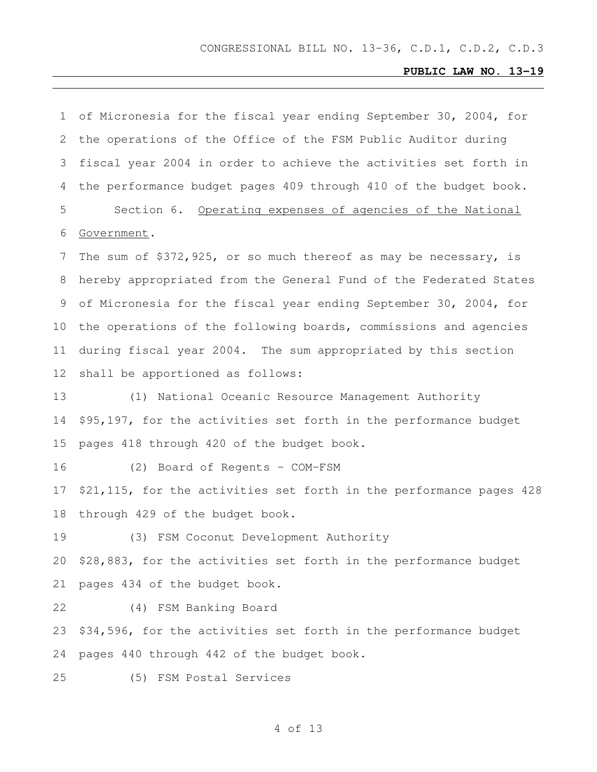| 1  | of Micronesia for the fiscal year ending September 30, 2004, for    |
|----|---------------------------------------------------------------------|
| 2  | the operations of the Office of the FSM Public Auditor during       |
| 3  | fiscal year 2004 in order to achieve the activities set forth in    |
| 4  | the performance budget pages 409 through 410 of the budget book.    |
| 5  | Section 6. Operating expenses of agencies of the National           |
| 6  | Government.                                                         |
| 7  | The sum of $$372,925$ , or so much thereof as may be necessary, is  |
| 8  | hereby appropriated from the General Fund of the Federated States   |
| 9  | of Micronesia for the fiscal year ending September 30, 2004, for    |
| 10 | the operations of the following boards, commissions and agencies    |
| 11 | during fiscal year 2004. The sum appropriated by this section       |
| 12 | shall be apportioned as follows:                                    |
| 13 | (1) National Oceanic Resource Management Authority                  |
| 14 | \$95,197, for the activities set forth in the performance budget    |
| 15 | pages 418 through 420 of the budget book.                           |
| 16 | (2) Board of Regents - COM-FSM                                      |
| 17 | \$21,115, for the activities set forth in the performance pages 428 |
| 18 | through 429 of the budget book.                                     |
| 19 | (3) FSM Coconut Development Authority                               |
| 20 | \$28,883, for the activities set forth in the performance budget    |
| 21 | pages 434 of the budget book.                                       |
| 22 | (4) FSM Banking Board                                               |
| 23 | \$34,596, for the activities set forth in the performance budget    |
| 24 | pages 440 through 442 of the budget book.                           |
| 25 | (5) FSM Postal Services                                             |
|    |                                                                     |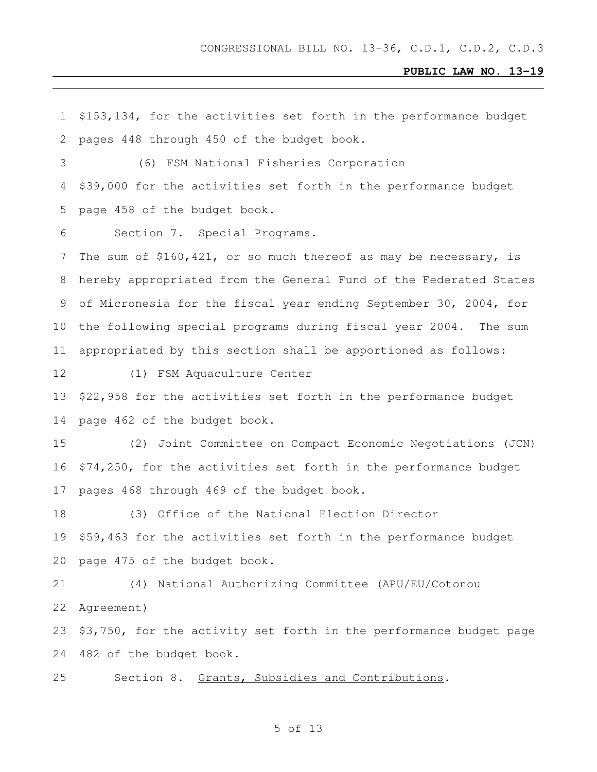\$153,134, for the activities set forth in the performance budget pages 448 through 450 of the budget book. (6) FSM National Fisheries Corporation \$39,000 for the activities set forth in the performance budget page 458 of the budget book. Section 7. Special Programs. The sum of \$160,421, or so much thereof as may be necessary, is hereby appropriated from the General Fund of the Federated States of Micronesia for the fiscal year ending September 30, 2004, for the following special programs during fiscal year 2004. The sum appropriated by this section shall be apportioned as follows: (1) FSM Aquaculture Center \$22,958 for the activities set forth in the performance budget page 462 of the budget book. (2) Joint Committee on Compact Economic Negotiations (JCN) \$74,250, for the activities set forth in the performance budget pages 468 through 469 of the budget book. (3) Office of the National Election Director \$59,463 for the activities set forth in the performance budget page 475 of the budget book. (4) National Authorizing Committee (APU/EU/Cotonou Agreement) \$3,750, for the activity set forth in the performance budget page 482 of the budget book. Section 8. Grants, Subsidies and Contributions.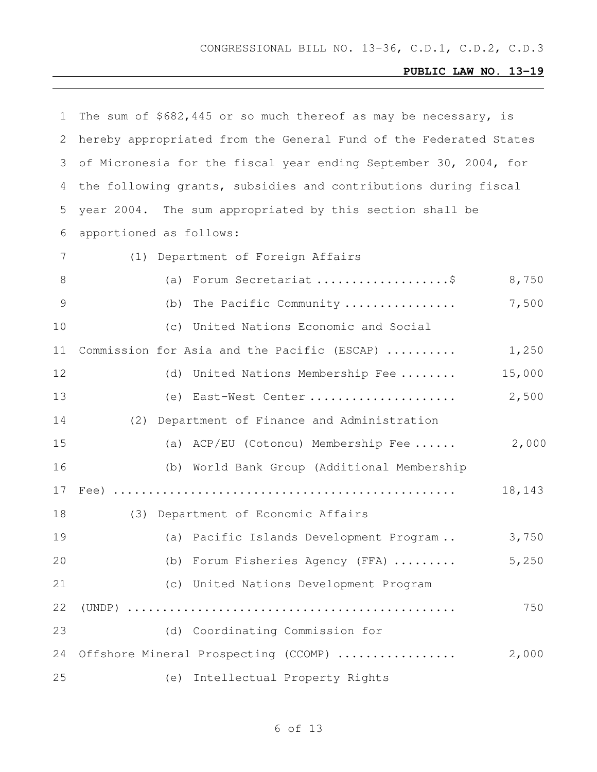| 1             | The sum of \$682,445 or so much thereof as may be necessary, is   |        |
|---------------|-------------------------------------------------------------------|--------|
| 2             | hereby appropriated from the General Fund of the Federated States |        |
| 3             | of Micronesia for the fiscal year ending September 30, 2004, for  |        |
| 4             | the following grants, subsidies and contributions during fiscal   |        |
| 5             | year 2004. The sum appropriated by this section shall be          |        |
| 6             | apportioned as follows:                                           |        |
| 7             | (1) Department of Foreign Affairs                                 |        |
| 8             | Forum Secretariat \$<br>(a)                                       | 8,750  |
| $\mathcal{G}$ | The Pacific Community<br>(b)                                      | 7,500  |
| 10            | United Nations Economic and Social<br>(C)                         |        |
| 11            | Commission for Asia and the Pacific (ESCAP)                       | 1,250  |
| 12            | United Nations Membership Fee<br>(d)                              | 15,000 |
| 13            | (e) East-West Center                                              | 2,500  |
| 14            | Department of Finance and Administration<br>(2)                   |        |
| 15            | (a) ACP/EU (Cotonou) Membership Fee                               | 2,000  |
| 16            | (b) World Bank Group (Additional Membership                       |        |
| 17            |                                                                   | 18,143 |
| 18            | (3) Department of Economic Affairs                                |        |
| 19            | (a) Pacific Islands Development Program                           | 3,750  |
| 20            | (b) Forum Fisheries Agency (FFA)                                  | 5,250  |
| 21            | (c) United Nations Development Program                            |        |
| 22            |                                                                   | 750    |
| 23            | (d) Coordinating Commission for                                   |        |
| 24            | Offshore Mineral Prospecting (CCOMP)                              | 2,000  |
| 25            | Intellectual Property Rights<br>(e)                               |        |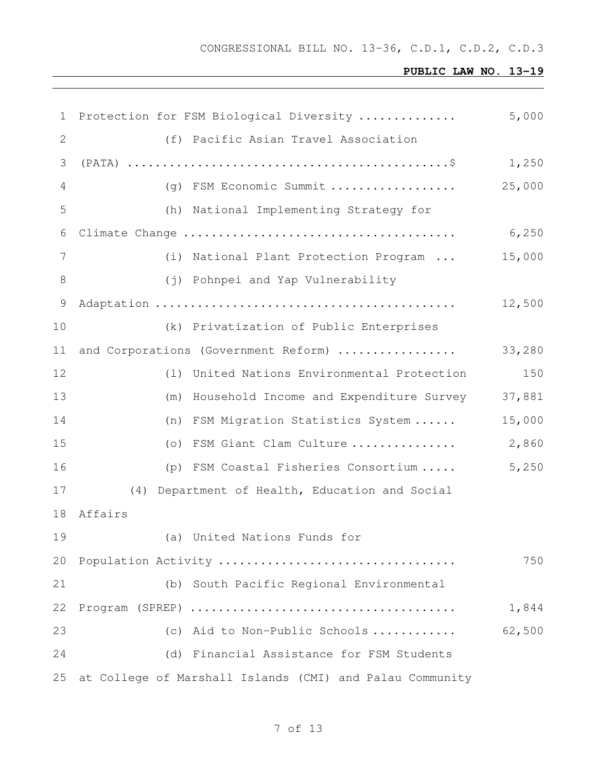| 1              | Protection for FSM Biological Diversity                  | 5,000  |
|----------------|----------------------------------------------------------|--------|
| 2              | (f) Pacific Asian Travel Association                     |        |
| 3              |                                                          | 1,250  |
| $\overline{4}$ | (g) FSM Economic Summit                                  | 25,000 |
| 5              | National Implementing Strategy for<br>(h)                |        |
| 6              |                                                          | 6,250  |
| 7              | (i) National Plant Protection Program                    | 15,000 |
| 8              | (j) Pohnpei and Yap Vulnerability                        |        |
| $\mathcal{G}$  |                                                          | 12,500 |
| 10             | (k) Privatization of Public Enterprises                  |        |
| 11             | and Corporations (Government Reform)                     | 33,280 |
| 12             | United Nations Environmental Protection<br>(1)           | 150    |
| 13             | (m) Household Income and Expenditure Survey              | 37,881 |
| 14             | FSM Migration Statistics System<br>(n)                   | 15,000 |
| 15             | (o) FSM Giant Clam Culture                               | 2,860  |
| 16             | (p) FSM Coastal Fisheries Consortium                     | 5,250  |
| 17             | Department of Health, Education and Social<br>(4)        |        |
| 18             | Affairs                                                  |        |
| 19             | (a) United Nations Funds for                             |        |
| 20             | Population Activity                                      | 750    |
| 21             | (b) South Pacific Regional Environmental                 |        |
| 22             |                                                          | 1,844  |
| 23             | (c) Aid to Non-Public Schools                            | 62,500 |
| 24             | (d) Financial Assistance for FSM Students                |        |
| 25             | at College of Marshall Islands (CMI) and Palau Community |        |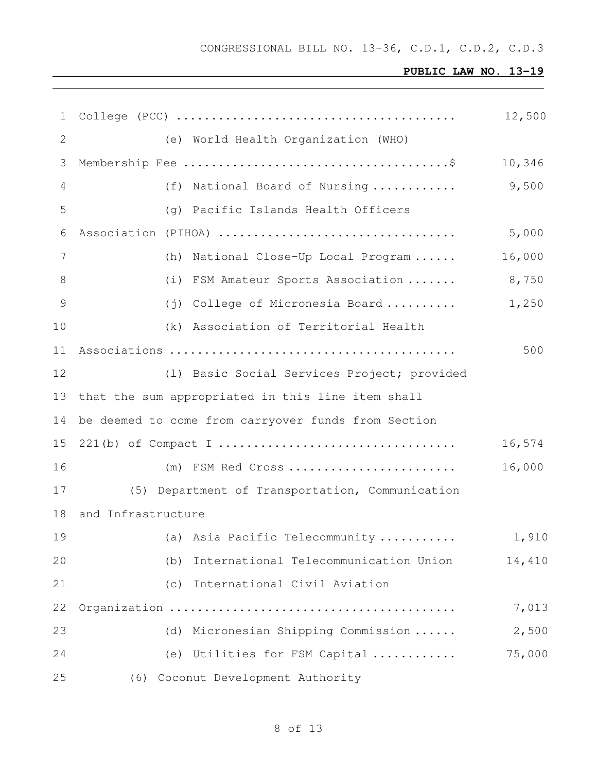| $\mathbf{1}$ | College (PCC) $\dots\dots\dots\dots\dots\dots\dots\dots\dots\dots\dots\dots\dots\dots\dots\dots$ | 12,500 |
|--------------|--------------------------------------------------------------------------------------------------|--------|
| 2            | (e) World Health Organization (WHO)                                                              |        |
| 3            |                                                                                                  | 10,346 |
| 4            | (f) National Board of Nursing                                                                    | 9,500  |
| 5            | (g) Pacific Islands Health Officers                                                              |        |
| 6            | Association (PIHOA)                                                                              | 5,000  |
| 7            | (h) National Close-Up Local Program                                                              | 16,000 |
| 8            | (i) FSM Amateur Sports Association                                                               | 8,750  |
| 9            | (j) College of Micronesia Board                                                                  | 1,250  |
| 10           | (k) Association of Territorial Health                                                            |        |
| 11           |                                                                                                  | 500    |
| 12           | (1) Basic Social Services Project; provided                                                      |        |
| 13           | that the sum appropriated in this line item shall                                                |        |
| 14           | be deemed to come from carryover funds from Section                                              |        |
| 15           |                                                                                                  | 16,574 |
| 16           | $(m)$ FSM Red Cross                                                                              | 16,000 |
| 17           | (5) Department of Transportation, Communication                                                  |        |
| 18           | and Infrastructure                                                                               |        |
| 19           | (a) Asia Pacific Telecommunity                                                                   | 1,910  |
| 20           | International Telecommunication Union<br>(b)                                                     | 14,410 |
| 21           | International Civil Aviation<br>(C)                                                              |        |
| 22           |                                                                                                  | 7,013  |
| 23           | (d) Micronesian Shipping Commission                                                              | 2,500  |
| 24           | (e) Utilities for FSM Capital                                                                    | 75,000 |
| 25           | Coconut Development Authority<br>(6)                                                             |        |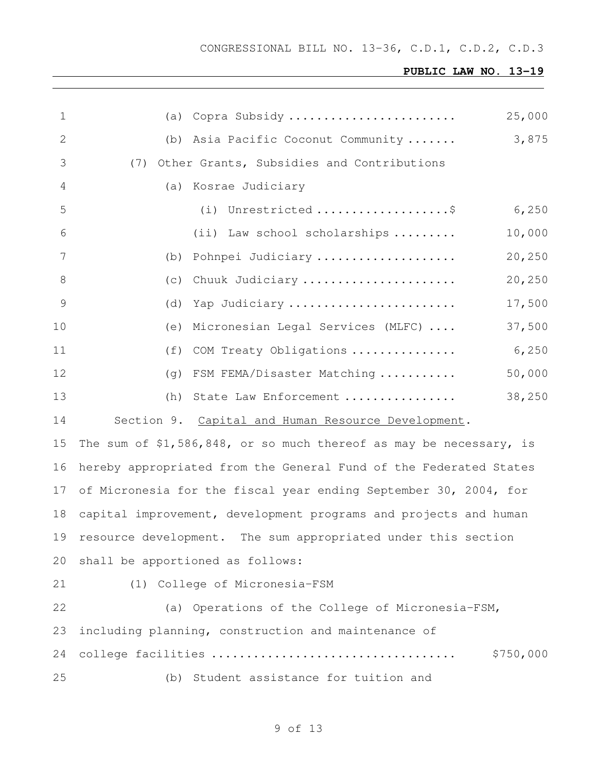| $\mathbf 1$    | 25,000<br>(a) Copra Subsidy                                         |
|----------------|---------------------------------------------------------------------|
| 2              | 3,875<br>(b) Asia Pacific Coconut Community                         |
| 3              | Other Grants, Subsidies and Contributions<br>(7)                    |
| 4              | (a) Kosrae Judiciary                                                |
| 5              | (i) Unrestricted \$<br>6,250                                        |
| 6              | (ii) Law school scholarships<br>10,000                              |
| 7              | 20,250<br>(b) Pohnpei Judiciary                                     |
| 8              | 20,250<br>(C)<br>Chuuk Judiciary                                    |
| $\overline{9}$ | 17,500<br>(d)<br>Yap Judiciary                                      |
| 10             | 37,500<br>(e) Micronesian Legal Services (MLFC)                     |
| 11             | 6,250<br>(f) COM Treaty Obligations                                 |
| 12             | 50,000<br>(q) FSM FEMA/Disaster Matching                            |
| 13             | 38,250<br>(h) State Law Enforcement                                 |
| 14             | Section 9. Capital and Human Resource Development.                  |
| 15             | The sum of \$1,586,848, or so much thereof as may be necessary, is  |
| 16             | hereby appropriated from the General Fund of the Federated States   |
|                | 17 of Micronesia for the fiscal year ending September 30, 2004, for |
| 18             | capital improvement, development programs and projects and human    |
| 19             | resource development. The sum appropriated under this section       |
| 20             | shall be apportioned as follows:                                    |
| 21             | College of Micronesia-FSM<br>(1)                                    |
| 22             | (a) Operations of the College of Micronesia-FSM,                    |
| 23             | including planning, construction and maintenance of                 |
| 24             | college facilities<br>\$750,000                                     |
| 25             | (b) Student assistance for tuition and                              |
|                |                                                                     |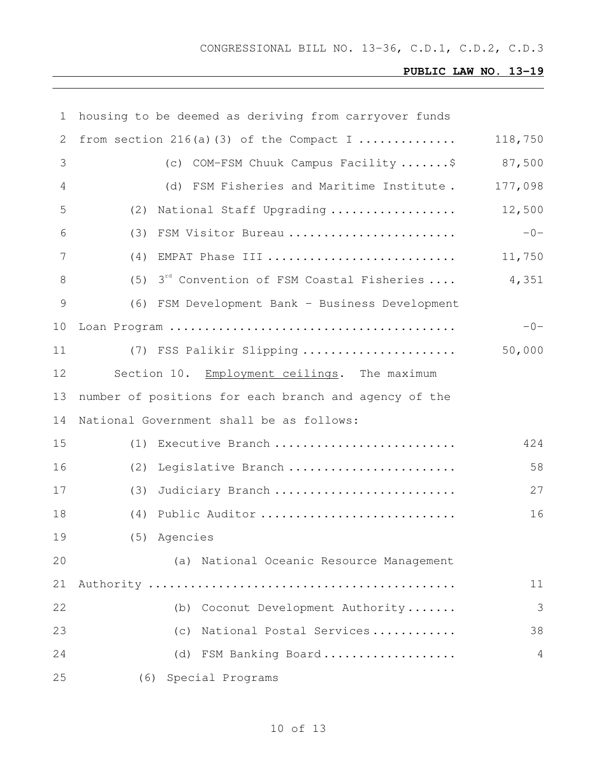| 1     | housing to be deemed as deriving from carryover funds      |         |
|-------|------------------------------------------------------------|---------|
| 2     | from section $216(a)$ (3) of the Compact I                 | 118,750 |
| 3     | (c) COM-FSM Chuuk Campus Facility \$                       | 87,500  |
| 4     | (d) FSM Fisheries and Maritime Institute.                  | 177,098 |
| 5     | National Staff Upgrading<br>(2)                            | 12,500  |
| 6     | (3) FSM Visitor Bureau                                     | $-0-$   |
| 7     | (4)<br>EMPAT Phase III                                     | 11,750  |
| $8\,$ | 3 <sup>rd</sup> Convention of FSM Coastal Fisheries<br>(5) | 4,351   |
| 9     | (6) FSM Development Bank - Business Development            |         |
| 10    |                                                            | $-0-$   |
| 11    | (7) FSS Palikir Slipping                                   | 50,000  |
| 12    | Section 10. Employment ceilings. The maximum               |         |
| 13    | number of positions for each branch and agency of the      |         |
| 14    | National Government shall be as follows:                   |         |
| 15    | Executive Branch<br>(1)                                    | 424     |
| 16    | (2)<br>Legislative Branch                                  | 58      |
| 17    | (3)<br>Judiciary Branch                                    | 27      |
| 18    | Public Auditor<br>(4)                                      | 16      |
| 19    | (5) Agencies                                               |         |
| 20    | (a) National Oceanic Resource Management                   |         |
| 21    |                                                            | 11      |
| 22    | Coconut Development Authority<br>(b)                       | 3       |
| 23    | National Postal Services<br>(c)                            | 38      |
| 24    | (d)<br>FSM Banking Board                                   | 4       |
| 25    | Special Programs<br>(6)                                    |         |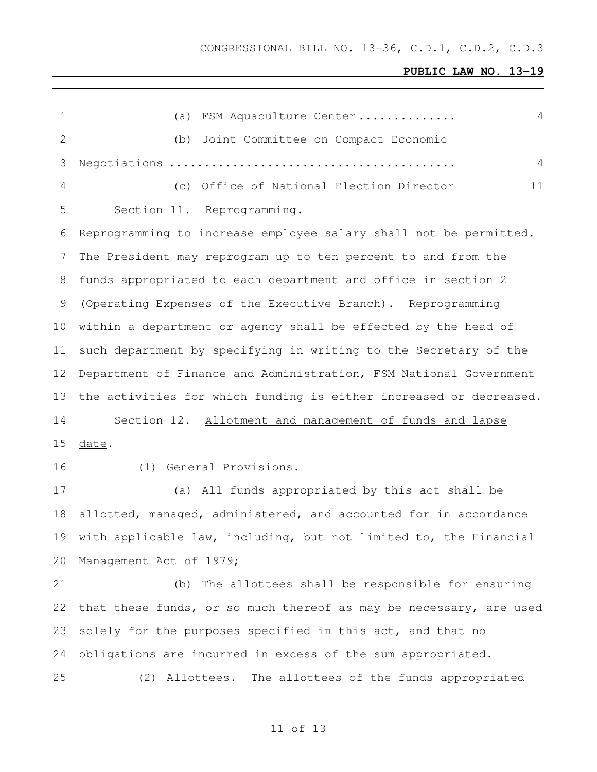CONGRESSIONAL BILL NO. 13-36, C.D.1, C.D.2, C.D.3

## **PUBLIC LAW NO. 13-19**

| FSM Aquaculture Center<br>4<br>(a)                                 |
|--------------------------------------------------------------------|
| Joint Committee on Compact Economic<br>(b)                         |
| 4                                                                  |
| (c) Office of National Election Director<br>11                     |
| Section 11. Reprogramming.                                         |
| Reprogramming to increase employee salary shall not be permitted.  |
| The President may reprogram up to ten percent to and from the      |
| funds appropriated to each department and office in section 2      |
| (Operating Expenses of the Executive Branch). Reprogramming        |
| within a department or agency shall be effected by the head of     |
| such department by specifying in writing to the Secretary of the   |
| Department of Finance and Administration, FSM National Government  |
| the activities for which funding is either increased or decreased. |
| Section 12. Allotment and management of funds and lapse            |
| date.                                                              |
| (1) General Provisions.                                            |
| (a) All funds appropriated by this act shall be                    |
| allotted, managed, administered, and accounted for in accordance   |
| with applicable law, including, but not limited to, the Financial  |
| Management Act of 1979;                                            |
| (b) The allottees shall be responsible for ensuring                |
| that these funds, or so much thereof as may be necessary, are used |
| solely for the purposes specified in this act, and that no         |
| obligations are incurred in excess of the sum appropriated.        |
| (2) Allottees. The allottees of the funds appropriated             |
|                                                                    |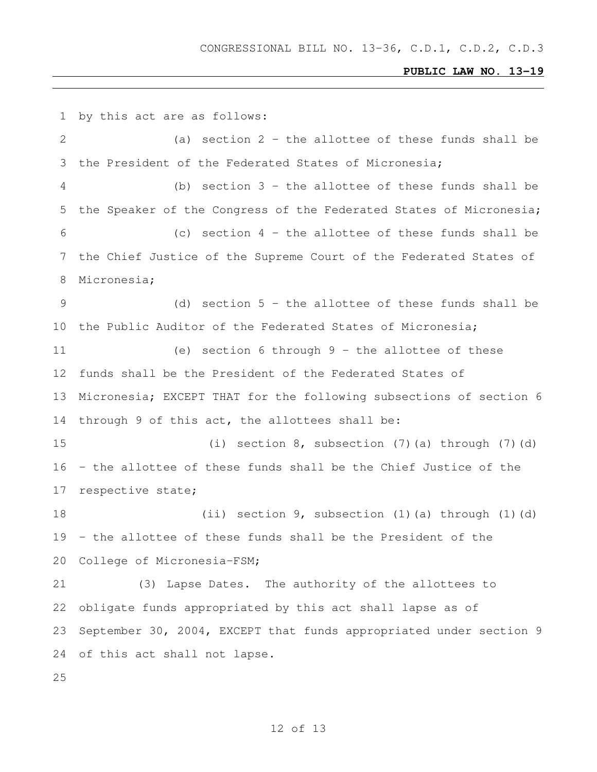by this act are as follows: (a) section 2 - the allottee of these funds shall be the President of the Federated States of Micronesia; (b) section 3 - the allottee of these funds shall be the Speaker of the Congress of the Federated States of Micronesia; (c) section 4 - the allottee of these funds shall be the Chief Justice of the Supreme Court of the Federated States of Micronesia; (d) section 5 - the allottee of these funds shall be the Public Auditor of the Federated States of Micronesia; (e) section 6 through 9 - the allottee of these funds shall be the President of the Federated States of Micronesia; EXCEPT THAT for the following subsections of section 6 through 9 of this act, the allottees shall be: (i) section 8, subsection (7)(a) through (7)(d) - the allottee of these funds shall be the Chief Justice of the respective state; (ii) section 9, subsection (1)(a) through (1)(d) - the allottee of these funds shall be the President of the College of Micronesia-FSM; (3) Lapse Dates. The authority of the allottees to obligate funds appropriated by this act shall lapse as of September 30, 2004, EXCEPT that funds appropriated under section 9 of this act shall not lapse.